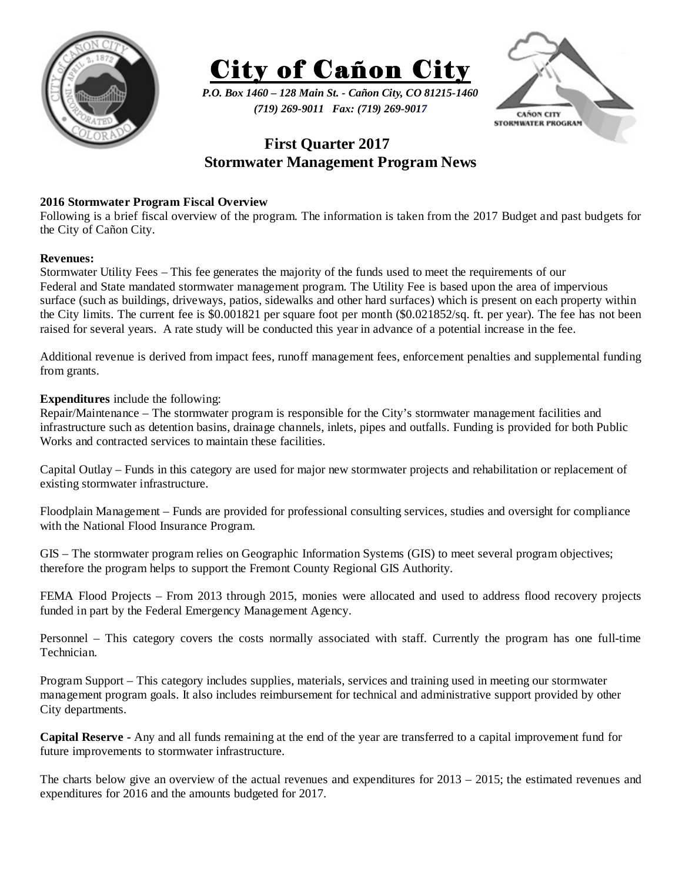



*P.O. Box 1460 – 128 Main St. - Cañon City, CO 81215-1460 (719) 269-9011 Fax: (719) 269-9017* 



# **First Quarter 2017 Stormwater Management Program News**

### **2016 Stormwater Program Fiscal Overview**

Following is a brief fiscal overview of the program. The information is taken from the 2017 Budget and past budgets for the City of Cañon City.

#### **Revenues:**

Stormwater Utility Fees – This fee generates the majority of the funds used to meet the requirements of our Federal and State mandated stormwater management program. The Utility Fee is based upon the area of impervious surface (such as buildings, driveways, patios, sidewalks and other hard surfaces) which is present on each property within the City limits. The current fee is \$0.001821 per square foot per month (\$0.021852/sq. ft. per year). The fee has not been raised for several years. A rate study will be conducted this year in advance of a potential increase in the fee.

Additional revenue is derived from impact fees, runoff management fees, enforcement penalties and supplemental funding from grants.

## **Expenditures** include the following:

Repair/Maintenance – The stormwater program is responsible for the City's stormwater management facilities and infrastructure such as detention basins, drainage channels, inlets, pipes and outfalls. Funding is provided for both Public Works and contracted services to maintain these facilities.

Capital Outlay – Funds in this category are used for major new stormwater projects and rehabilitation or replacement of existing stormwater infrastructure.

Floodplain Management – Funds are provided for professional consulting services, studies and oversight for compliance with the National Flood Insurance Program.

GIS – The stormwater program relies on Geographic Information Systems (GIS) to meet several program objectives; therefore the program helps to support the Fremont County Regional GIS Authority.

FEMA Flood Projects – From 2013 through 2015, monies were allocated and used to address flood recovery projects funded in part by the Federal Emergency Management Agency.

Personnel – This category covers the costs normally associated with staff. Currently the program has one full-time Technician.

Program Support – This category includes supplies, materials, services and training used in meeting our stormwater management program goals. It also includes reimbursement for technical and administrative support provided by other City departments.

**Capital Reserve -** Any and all funds remaining at the end of the year are transferred to a capital improvement fund for future improvements to stormwater infrastructure.

The charts below give an overview of the actual revenues and expenditures for 2013 – 2015; the estimated revenues and expenditures for 2016 and the amounts budgeted for 2017.